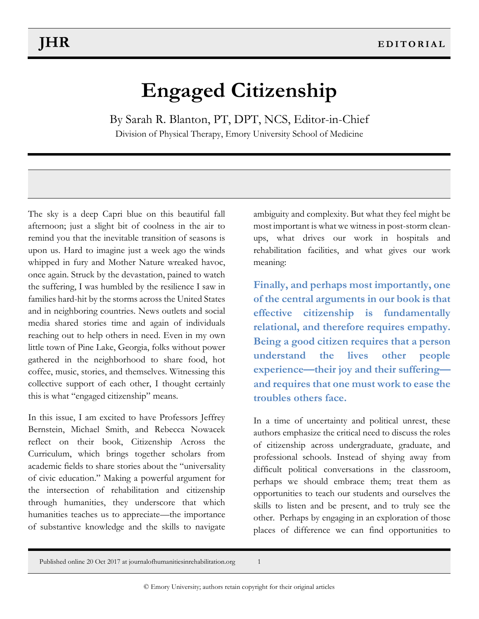## **Engaged Citizenship**

By Sarah R. Blanton, PT, DPT, NCS, Editor-in-Chief Division of Physical Therapy, Emory University School of Medicine

The sky is a deep Capri blue on this beautiful fall afternoon; just a slight bit of coolness in the air to remind you that the inevitable transition of seasons is upon us. Hard to imagine just a week ago the winds whipped in fury and Mother Nature wreaked havoc, once again. Struck by the devastation, pained to watch the suffering, I was humbled by the resilience I saw in families hard-hit by the storms across the United States and in neighboring countries. News outlets and social media shared stories time and again of individuals reaching out to help others in need. Even in my own little town of Pine Lake, Georgia, folks without power gathered in the neighborhood to share food, hot coffee, music, stories, and themselves. Witnessing this collective support of each other, I thought certainly this is what "engaged citizenship" means.

In this issue, I am excited to have Professors Jeffrey Bernstein, Michael Smith, and Rebecca Nowacek reflect on their book, Citizenship Across the Curriculum, which brings together scholars from academic fields to share stories about the "universality of civic education." Making a powerful argument for the intersection of rehabilitation and citizenship through humanities, they underscore that which humanities teaches us to appreciate—the importance of substantive knowledge and the skills to navigate ambiguity and complexity. But what they feel might be most important is what we witness in post-storm cleanups, what drives our work in hospitals and rehabilitation facilities, and what gives our work meaning:

**Finally, and perhaps most importantly, one of the central arguments in our book is that effective citizenship is fundamentally relational, and therefore requires empathy. Being a good citizen requires that a person understand the lives other people experience—their joy and their suffering and requires that one must work to ease the troubles others face.**

In a time of uncertainty and political unrest, these authors emphasize the critical need to discuss the roles of citizenship across undergraduate, graduate, and professional schools. Instead of shying away from difficult political conversations in the classroom, perhaps we should embrace them; treat them as opportunities to teach our students and ourselves the skills to listen and be present, and to truly see the other. Perhaps by engaging in an exploration of those places of difference we can find opportunities to

Published online 20 Oct 2017 at journalofhumanitiesinrehabilitation.org 1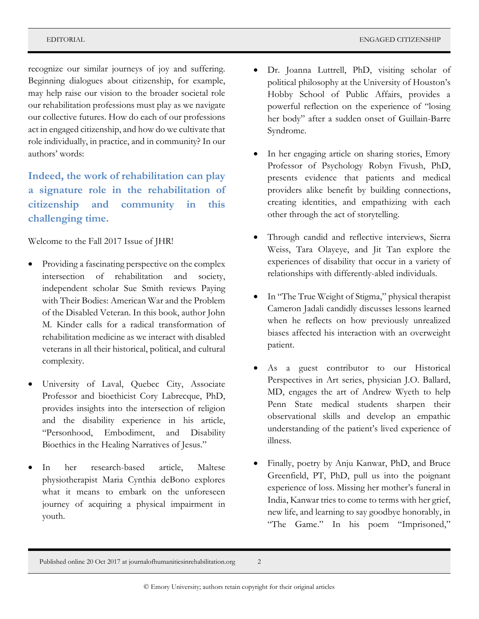recognize our similar journeys of joy and suffering. Beginning dialogues about citizenship, for example, may help raise our vision to the broader societal role our rehabilitation professions must play as we navigate our collective futures. How do each of our professions act in engaged citizenship, and how do we cultivate that role individually, in practice, and in community? In our authors' words:

**Indeed, the work of rehabilitation can play a signature role in the rehabilitation of citizenship and community in this challenging time.**

Welcome to the Fall 2017 Issue of JHR!

- Providing a fascinating perspective on the complex intersection of rehabilitation and society, independent scholar Sue Smith reviews Paying with Their Bodies: American War and the Problem of the Disabled Veteran. In this book, author John M. Kinder calls for a radical transformation of rehabilitation medicine as we interact with disabled veterans in all their historical, political, and cultural complexity.
- University of Laval, Quebec City, Associate Professor and bioethicist Cory Labrecque, PhD, provides insights into the intersection of religion and the disability experience in his article, "Personhood, Embodiment, and Disability Bioethics in the Healing Narratives of Jesus."
- In her research-based article, Maltese physiotherapist Maria Cynthia deBono explores what it means to embark on the unforeseen journey of acquiring a physical impairment in youth.
- Dr. Joanna Luttrell, PhD, visiting scholar of political philosophy at the University of Houston's Hobby School of Public Affairs, provides a powerful reflection on the experience of "losing her body" after a sudden onset of Guillain-Barre Syndrome.
- In her engaging article on sharing stories, Emory Professor of Psychology Robyn Fivush, PhD, presents evidence that patients and medical providers alike benefit by building connections, creating identities, and empathizing with each other through the act of storytelling.
- Through candid and reflective interviews, Sierra Weiss, Tara Olayeye, and Jit Tan explore the experiences of disability that occur in a variety of relationships with differently-abled individuals.
- In "The True Weight of Stigma," physical therapist Cameron Jadali candidly discusses lessons learned when he reflects on how previously unrealized biases affected his interaction with an overweight patient.
- As a guest contributor to our Historical Perspectives in Art series, physician J.O. Ballard, MD, engages the art of Andrew Wyeth to help Penn State medical students sharpen their observational skills and develop an empathic understanding of the patient's lived experience of illness.
- Finally, poetry by Anju Kanwar, PhD, and Bruce Greenfield, PT, PhD, pull us into the poignant experience of loss. Missing her mother's funeral in India, Kanwar tries to come to terms with her grief, new life, and learning to say goodbye honorably, in "The Game." In his poem "Imprisoned,"

Published online 20 Oct 2017 at journalofhumanitiesinrehabilitation.org 2